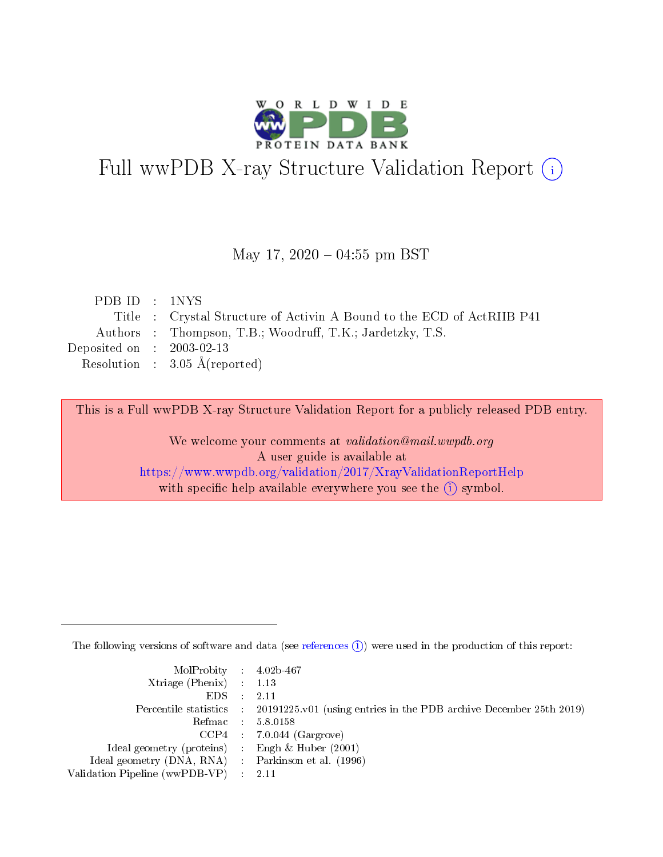

# Full wwPDB X-ray Structure Validation Report (i)

### May 17,  $2020 - 04:55$  pm BST

| PDB ID : 1NYS               |                                                                        |
|-----------------------------|------------------------------------------------------------------------|
|                             | Title : Crystal Structure of Activin A Bound to the ECD of ActRIIB P41 |
|                             | Authors : Thompson, T.B.; Woodruff, T.K.; Jardetzky, T.S.              |
| Deposited on : $2003-02-13$ |                                                                        |
|                             | Resolution : $3.05 \text{ Å}$ (reported)                               |

This is a Full wwPDB X-ray Structure Validation Report for a publicly released PDB entry.

We welcome your comments at validation@mail.wwpdb.org A user guide is available at <https://www.wwpdb.org/validation/2017/XrayValidationReportHelp> with specific help available everywhere you see the  $(i)$  symbol.

The following versions of software and data (see [references](https://www.wwpdb.org/validation/2017/XrayValidationReportHelp#references)  $(i)$ ) were used in the production of this report:

| $MolProbability$ 4.02b-467                          |                                                                                            |
|-----------------------------------------------------|--------------------------------------------------------------------------------------------|
| Xtriage (Phenix) $: 1.13$                           |                                                                                            |
| $EDS$ :                                             | -2.11                                                                                      |
|                                                     | Percentile statistics : 20191225.v01 (using entries in the PDB archive December 25th 2019) |
|                                                     | Refmac : 5.8.0158                                                                          |
|                                                     | $CCP4$ : 7.0.044 (Gargrove)                                                                |
| Ideal geometry (proteins) : Engh $\&$ Huber (2001)  |                                                                                            |
| Ideal geometry (DNA, RNA) : Parkinson et al. (1996) |                                                                                            |
| Validation Pipeline (wwPDB-VP)                      | -2.11                                                                                      |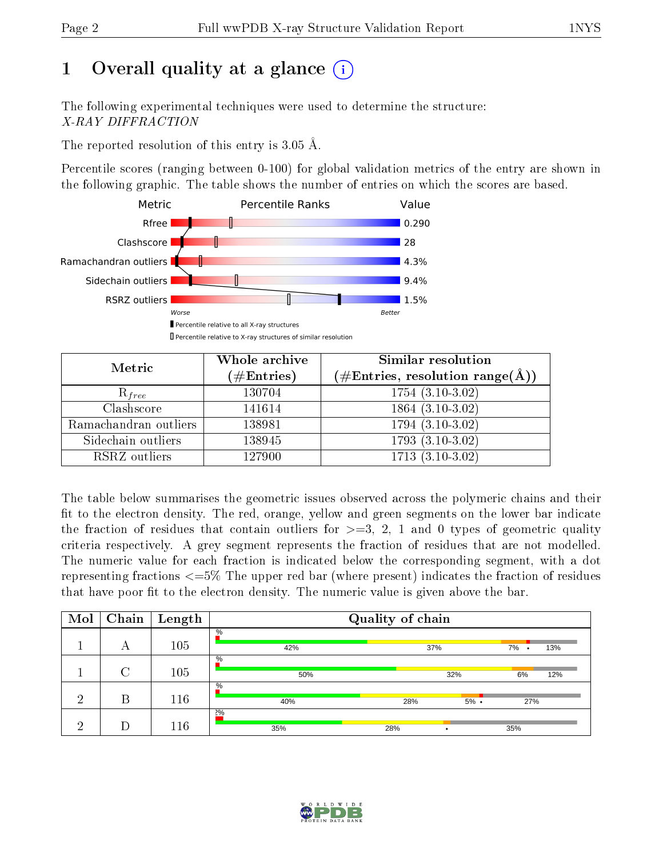# 1 [O](https://www.wwpdb.org/validation/2017/XrayValidationReportHelp#overall_quality)verall quality at a glance  $(i)$

The following experimental techniques were used to determine the structure: X-RAY DIFFRACTION

The reported resolution of this entry is 3.05 Å.

Percentile scores (ranging between 0-100) for global validation metrics of the entry are shown in the following graphic. The table shows the number of entries on which the scores are based.



| Metric                | Whole archive        | <b>Similar resolution</b>                                              |
|-----------------------|----------------------|------------------------------------------------------------------------|
|                       | $(\#\text{Entries})$ | $(\#\text{Entries},\, \text{resolution}\; \text{range}(\textup{\AA}))$ |
| $R_{free}$            | 130704               | $1754(3.10-3.02)$                                                      |
| Clashscore            | 141614               | $1864(3.10-3.02)$                                                      |
| Ramachandran outliers | 138981               | $1794(3.10-3.02)$                                                      |
| Sidechain outliers    | 138945               | $1793(3.10-3.02)$                                                      |
| RSRZ outliers         | 127900               | $1713(3.10-3.02)$                                                      |

The table below summarises the geometric issues observed across the polymeric chains and their fit to the electron density. The red, orange, yellow and green segments on the lower bar indicate the fraction of residues that contain outliers for  $>=3, 2, 1$  and 0 types of geometric quality criteria respectively. A grey segment represents the fraction of residues that are not modelled. The numeric value for each fraction is indicated below the corresponding segment, with a dot representing fractions <=5% The upper red bar (where present) indicates the fraction of residues that have poor fit to the electron density. The numeric value is given above the bar.

| Mol | Chain  | $\bold{Length}$ | Quality of chain |     |         |         |     |  |  |  |
|-----|--------|-----------------|------------------|-----|---------|---------|-----|--|--|--|
|     | А      | 105             | $\%$<br>42%      | 37% |         | $7\%$ . | 13% |  |  |  |
|     | $\cap$ | 105             | $\%$<br>50%      |     | 32%     | 6%      | 12% |  |  |  |
| ച   | В      | 116             | $\%$<br>40%      | 28% | $5\%$ . | 27%     |     |  |  |  |
| ച   |        | 116             | 2%<br>35%        | 28% |         | 35%     |     |  |  |  |

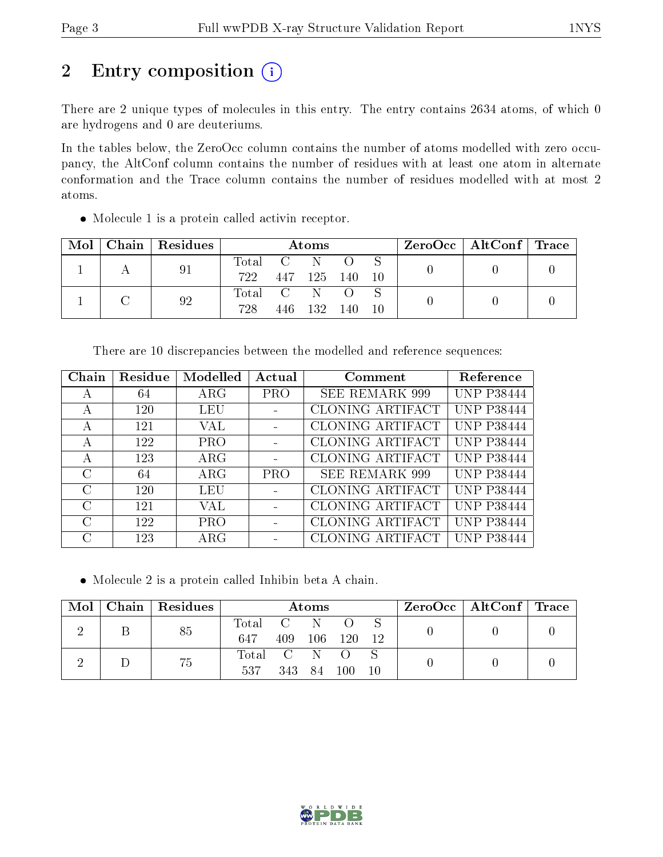# 2 Entry composition (i)

There are 2 unique types of molecules in this entry. The entry contains 2634 atoms, of which 0 are hydrogens and 0 are deuteriums.

In the tables below, the ZeroOcc column contains the number of atoms modelled with zero occupancy, the AltConf column contains the number of residues with at least one atom in alternate conformation and the Trace column contains the number of residues modelled with at most 2 atoms.

Molecule 1 is a protein called activin receptor.

| Mol | $Chain   Residues$ | Atoms     |  |                |                       |     | $\text{ZeroOcc} \mid \text{AltConf} \mid \text{Trace} \mid$ |  |
|-----|--------------------|-----------|--|----------------|-----------------------|-----|-------------------------------------------------------------|--|
|     | 91                 | Total C N |  |                | $\bigcirc$ $\bigcirc$ |     |                                                             |  |
|     |                    | 722       |  | 447 125 140 10 |                       |     |                                                             |  |
|     | 92                 | Total C   |  |                |                       |     |                                                             |  |
|     |                    | 728       |  | 446 132        | 140                   | -10 |                                                             |  |

| There are 10 discrepancies between the modelled and reference sequences: |  |  |
|--------------------------------------------------------------------------|--|--|
|--------------------------------------------------------------------------|--|--|

| Chain         | Residue | Modelled    | Actual     | Comment                 | Reference         |
|---------------|---------|-------------|------------|-------------------------|-------------------|
| А             | 64      | $\rm{ARG}$  | <b>PRO</b> | <b>SEE REMARK 999</b>   | <b>UNP P38444</b> |
| А             | 120     | LEU         |            | CLONING ARTIFACT        | <b>UNP P38444</b> |
| А             | 121     | VAL         |            | CLONING ARTIFACT        | <b>UNP P38444</b> |
| А             | 122     | <b>PRO</b>  |            | <b>CLONING ARTIFACT</b> | <b>UNP P38444</b> |
| А             | 123     | $\rm{ARG}$  |            | CLONING ARTIFACT        | <b>UNP P38444</b> |
| $\mathcal{C}$ | 64      | $\rm{ARG}$  | <b>PRO</b> | <b>SEE REMARK 999</b>   | <b>UNP P38444</b> |
| $\mathcal{C}$ | 120     | LEU         |            | CLONING ARTIFACT        | <b>UNP P38444</b> |
| $\rm C$       | 121     | VAL         |            | CLONING ARTIFACT        | <b>UNP P38444</b> |
| $\mathcal{C}$ | 122     | PRO         |            | CLONING ARTIFACT        | <b>UNP P38444</b> |
| C             | 123     | ${\rm ARG}$ |            | CLONING ARTIFACT        | <b>UNP P38444</b> |

Molecule 2 is a protein called Inhibin beta A chain.

| Mol | $\mid$ Chain $\mid$ Residues | Atoms       |     |    |         |       | $\rm ZeroOcc \mid AltConf \mid Trace$ |  |
|-----|------------------------------|-------------|-----|----|---------|-------|---------------------------------------|--|
|     | 85                           | Total C N   |     |    |         |       |                                       |  |
|     |                              | 647         | 409 |    | 106 120 | $-12$ |                                       |  |
|     | 75                           | Total C N O |     |    |         |       |                                       |  |
|     |                              | 537         | 343 | 84 | 100     | 10    |                                       |  |

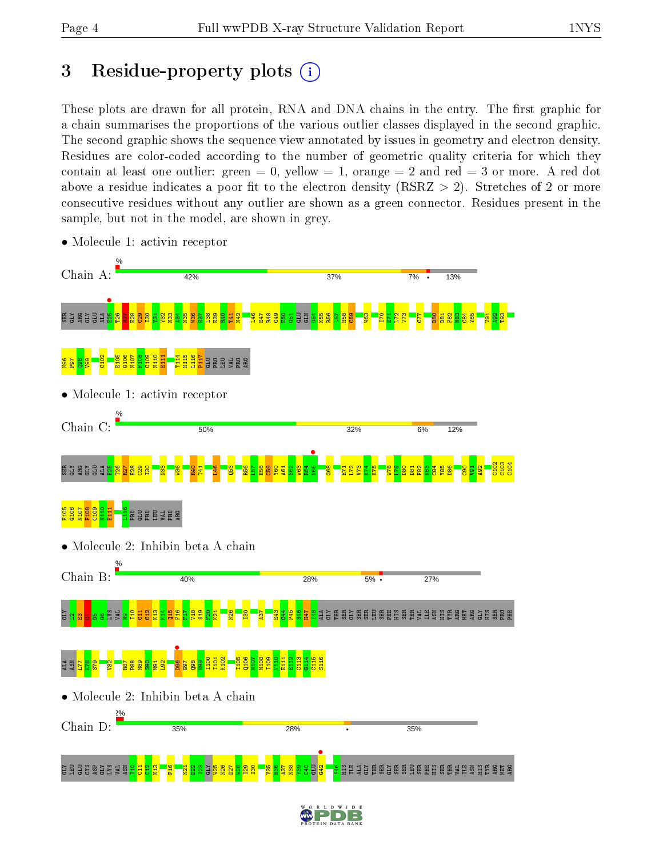# 3 Residue-property plots  $(i)$

These plots are drawn for all protein, RNA and DNA chains in the entry. The first graphic for a chain summarises the proportions of the various outlier classes displayed in the second graphic. The second graphic shows the sequence view annotated by issues in geometry and electron density. Residues are color-coded according to the number of geometric quality criteria for which they contain at least one outlier: green  $= 0$ , yellow  $= 1$ , orange  $= 2$  and red  $= 3$  or more. A red dot above a residue indicates a poor fit to the electron density (RSRZ  $> 2$ ). Stretches of 2 or more consecutive residues without any outlier are shown as a green connector. Residues present in the sample, but not in the model, are shown in grey.



• Molecule 1: activin receptor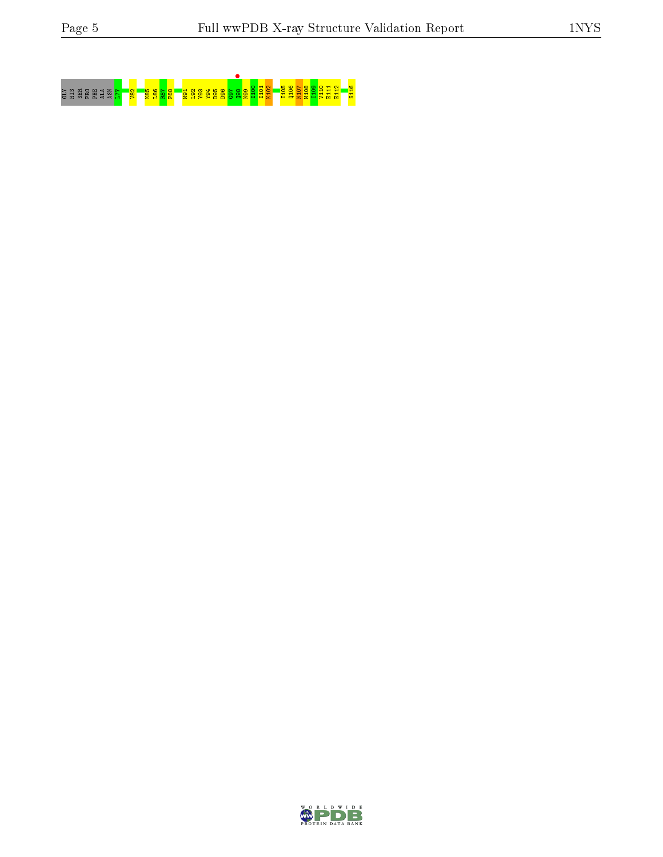# GLY HIS SER LEVEL <mark>182 198 198 1</mark>98 198 198 1<mark>98 199 1</mark>99 199 1<mark>99 199 1</mark>99 199 100 I

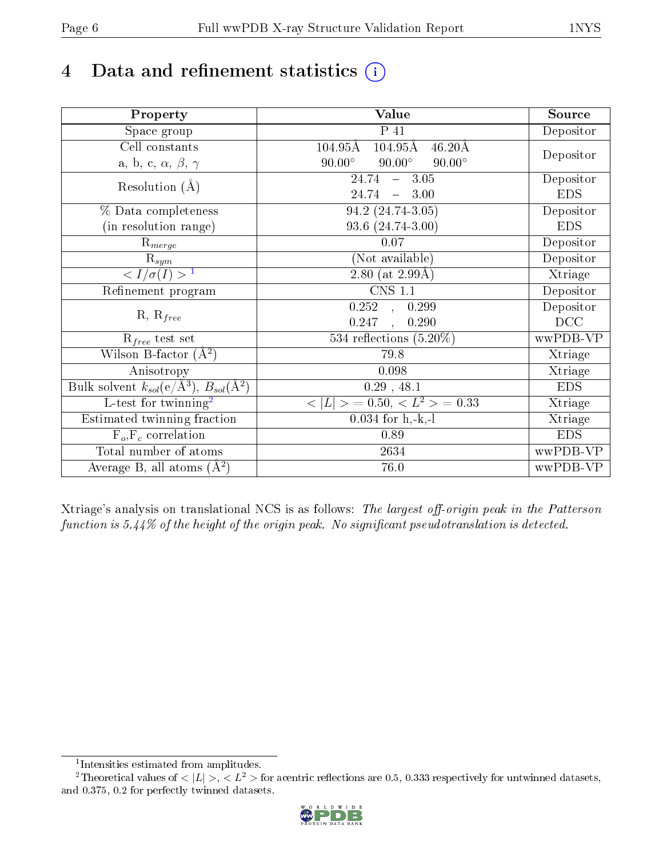# 4 Data and refinement statistics  $(i)$

| Property                                                             | Value                                                         | Source     |
|----------------------------------------------------------------------|---------------------------------------------------------------|------------|
| Space group                                                          | P 41                                                          | Depositor  |
| Cell constants                                                       | $104.95\text{\AA}$<br>$104.95\text{\AA}$<br>$46.20\text{\AA}$ |            |
| a, b, c, $\alpha$ , $\beta$ , $\gamma$                               | $90.00^\circ$<br>$90.00^\circ$<br>$90.00^\circ$               | Depositor  |
| Resolution $(A)$                                                     | 24.74<br>$-3.05$                                              | Depositor  |
|                                                                      | $24.74 - 3.00$                                                | <b>EDS</b> |
| % Data completeness                                                  | 94.2 (24.74-3.05)                                             | Depositor  |
| (in resolution range)                                                | 93.6 (24.74-3.00)                                             | <b>EDS</b> |
| $\mathrm{R}_{merge}$                                                 | 0.07                                                          | Depositor  |
| $\mathrm{R}_{sym}$                                                   | (Not available)                                               | Depositor  |
| $\langle I/\sigma(I) \rangle$ <sup>1</sup>                           | 2.80 (at $2.99\text{\AA}$ )                                   | Xtriage    |
| Refinement program                                                   | <b>CNS 1.1</b>                                                | Depositor  |
|                                                                      | $\overline{0.252}$ ,<br>0.299                                 | Depositor  |
| $R, R_{free}$                                                        | 0.247<br>0.290<br>$\ddot{\phantom{a}}$                        | DCC        |
| $\mathcal{R}_{free}$ test set                                        | 534 reflections $(5.20\%)$                                    | wwPDB-VP   |
| Wilson B-factor $(A^2)$                                              | 79.8                                                          | Xtriage    |
| Anisotropy                                                           | 0.098                                                         | Xtriage    |
| Bulk solvent $k_{sol}(e/\mathring{A}^3)$ , $B_{sol}(\mathring{A}^2)$ | 0.29, 48.1                                                    | <b>EDS</b> |
| $L$ -test for twinning <sup>2</sup>                                  | $< L >$ = 0.50, $< L2$ > = 0.33                               | Xtriage    |
| Estimated twinning fraction                                          | $0.034$ for h,-k,-l                                           | Xtriage    |
| $F_o, F_c$ correlation                                               | 0.89                                                          | <b>EDS</b> |
| Total number of atoms                                                | $2634\,$                                                      | wwPDB-VP   |
| Average B, all atoms $(A^2)$                                         | 76.0                                                          | wwPDB-VP   |

Xtriage's analysis on translational NCS is as follows: The largest off-origin peak in the Patterson function is  $5.44\%$  of the height of the origin peak. No significant pseudotranslation is detected.

<sup>&</sup>lt;sup>2</sup>Theoretical values of  $\langle |L| \rangle$ ,  $\langle L^2 \rangle$  for acentric reflections are 0.5, 0.333 respectively for untwinned datasets, and 0.375, 0.2 for perfectly twinned datasets.



<span id="page-5-1"></span><span id="page-5-0"></span><sup>1</sup> Intensities estimated from amplitudes.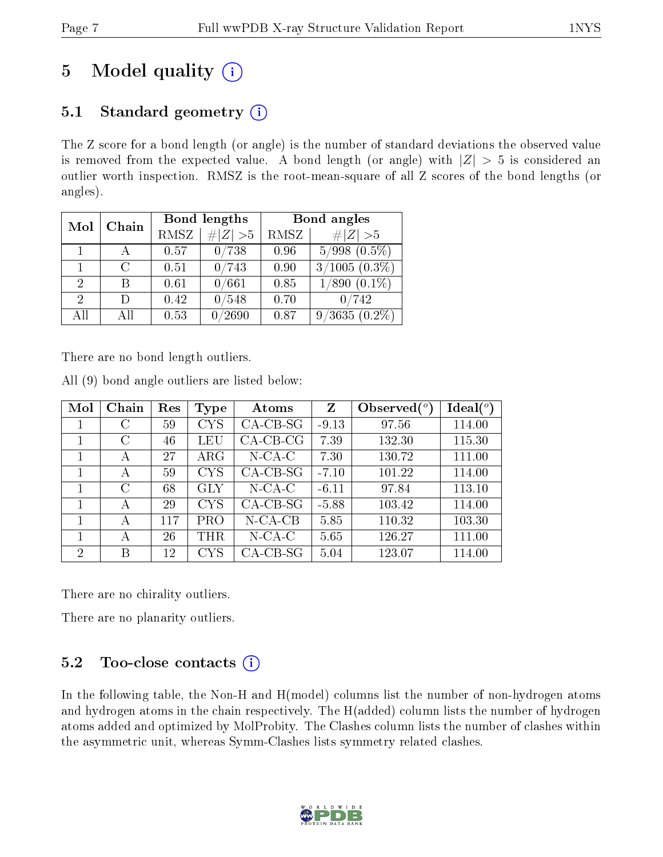# 5 Model quality  $(i)$

## 5.1 Standard geometry  $(i)$

The Z score for a bond length (or angle) is the number of standard deviations the observed value is removed from the expected value. A bond length (or angle) with  $|Z| > 5$  is considered an outlier worth inspection. RMSZ is the root-mean-square of all Z scores of the bond lengths (or angles).

| Mol                         | Chain  |      | Bond lengths | Bond angles |                            |  |
|-----------------------------|--------|------|--------------|-------------|----------------------------|--|
|                             |        | RMSZ | $\# Z  > 5$  | RMSZ        | # $ Z >5$                  |  |
| $\mathbf{1}$                |        | 0.57 | 0/738        | 0.96        | $5/998$ $(0.5\%)$          |  |
|                             | $\cap$ | 0.51 | 0/743        | 0.90        | $3/1005(0.3\%)$            |  |
| $\mathcal{D}_{\mathcal{L}}$ | В      | 0.61 | 0/661        | 0.85        | $\overline{1/890}$ (0.1\%) |  |
| $\mathcal{D}$               | D)     | 0.42 | 0/548        | 0.70        | 0/742                      |  |
| All                         | All    | 0.53 | /2690        | 0.87        | $9/3635(0.2\%)$            |  |

There are no bond length outliers.

|  |  | All (9) bond angle outliers are listed below: |  |  |
|--|--|-----------------------------------------------|--|--|
|  |  |                                               |  |  |

| Mol | Chain         | Res | <b>Type</b> | Atoms       | Z       | Observed $(°)$ | $\text{Ideal}({}^o)$ |
|-----|---------------|-----|-------------|-------------|---------|----------------|----------------------|
|     | С             | 59  | <b>CYS</b>  | $CA-CB-SG$  | $-9.13$ | 97.56          | 114.00               |
|     | С             | 46  | LEU         | $CA$ -CB-CG | 7.39    | 132.30         | 115.30               |
|     | А             | 27  | $\rm{ARG}$  | $N$ -CA-C   | 7.30    | 130.72         | 111.00               |
|     | А             | 59  | <b>CYS</b>  | $CA-CB-SG$  | $-7.10$ | 101.22         | 114.00               |
|     | $\mathcal{C}$ | 68  | GLY         | $N$ -CA-C   | $-6.11$ | 97.84          | 113.10               |
|     | А             | 29  | <b>CYS</b>  | $CA-CB-SG$  | $-5.88$ | 103.42         | 114.00               |
|     | А             | 117 | PRO         | $N$ -CA-CB  | 5.85    | 110.32         | 103.30               |
|     | А             | 26  | THR         | $N$ -CA-C   | 5.65    | 126.27         | 111.00               |
| 2   | В             | 12  | CYS         | $CA-CB-SG$  | 5.04    | 123.07         | 114.00               |

There are no chirality outliers.

There are no planarity outliers.

### 5.2 Too-close contacts  $(i)$

In the following table, the Non-H and H(model) columns list the number of non-hydrogen atoms and hydrogen atoms in the chain respectively. The H(added) column lists the number of hydrogen atoms added and optimized by MolProbity. The Clashes column lists the number of clashes within the asymmetric unit, whereas Symm-Clashes lists symmetry related clashes.

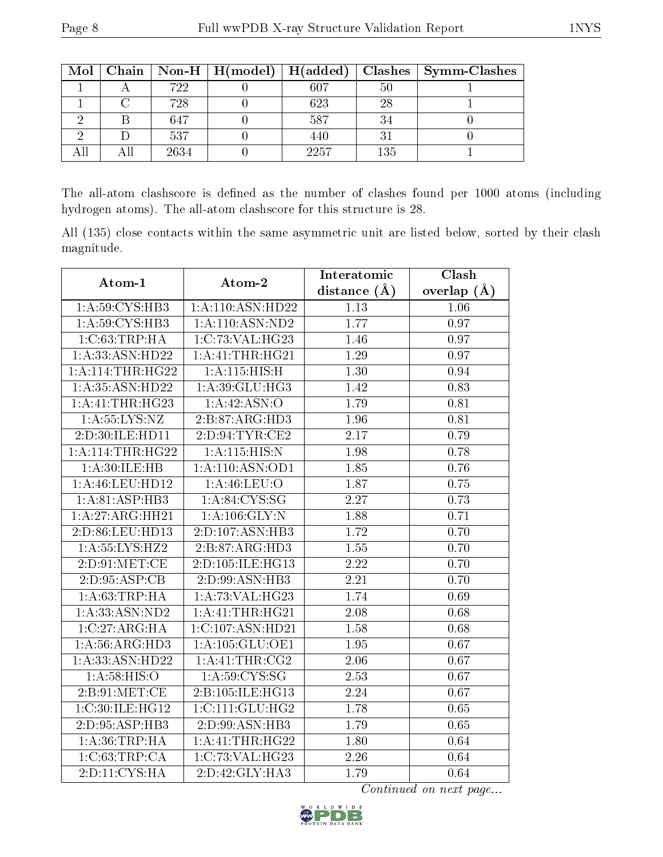| $\bf{Mol}$ |      |      |     | Chain   Non-H   H(model)   H(added)   Clashes   Symm-Clashes |
|------------|------|------|-----|--------------------------------------------------------------|
|            | 722  | 607  | 50  |                                                              |
|            | 728  | 623  | 28  |                                                              |
|            | 647  | 587  |     |                                                              |
|            | 537  | 440  | ച   |                                                              |
|            | 2634 | 2257 | 135 |                                                              |

The all-atom clashscore is defined as the number of clashes found per 1000 atoms (including hydrogen atoms). The all-atom clashscore for this structure is 28.

All (135) close contacts within the same asymmetric unit are listed below, sorted by their clash magnitude.

| Atom-1              | Atom-2              | Interatomic       | Clash             |
|---------------------|---------------------|-------------------|-------------------|
|                     |                     | distance $(\AA)$  | overlap $(A)$     |
| 1: A:59: CYS:HB3    | 1: A:110: ASN: HD22 | 1.13              | 1.06              |
| 1: A:59: CYS:HB3    | 1:A:110:ASN:ND2     | 1.77              | 0.97              |
| 1: C:63:TRP:HA      | 1:C:73:VAL:HG23     | 1.46              | 0.97              |
| 1: A: 33: ASN: HD22 | 1:A:41:THR:HG21     | 1.29              | 0.97              |
| 1: A:114:THR:HG22   | 1:A:115:HIS:H       | 1.30              | 0.94              |
| 1: A: 35: ASN: HD22 | 1:A:39:GLU:HG3      | 1.42              | 0.83              |
| 1:A:41:THR:HG23     | 1:A:42:ASN:O        | 1.79              | 0.81              |
| 1: A: 55: LYS: NZ   | 2:B:87:ARG:HD3      | 1.96              | 0.81              |
| 2:D:30:ILE:HD11     | 2: D:94: TYR: CE2   | 2.17              | 0.79              |
| 1:A:114:THR:HG22    | 1:A:115:HIS:N       | 1.98              | 0.78              |
| 1: A:30: ILE:HB     | 1:A:110:ASN:OD1     | 1.85              | 0.76              |
| 1:A:46:LEU:HD12     | 1: A:46: LEU:O      | 1.87              | 0.75              |
| 1:A:81:ASP:HB3      | 1: A:84:CYS:SG      | $\overline{2.27}$ | 0.73              |
| 1:A:27:ARG:HH21     | 1: A: 106: GLY: N   | 1.88              | 0.71              |
| 2:D:86:LEU:HD13     | 2:D:107:ASN:HB3     | 1.72              | 0.70              |
| 1: A: 55: LYS: HZ2  | 2:B:87:ARG:HD3      | 1.55              | $\overline{0.70}$ |
| 2: D: 91: MET: CE   | 2:D:105:ILE:HG13    | 2.22              | 0.70              |
| 2: D: 95: ASP:CB    | 2:D:99:ASN:HB3      | $\overline{2.21}$ | 0.70              |
| 1: A:63:TRP:HA      | 1:A:73:VAL:HG23     | 1.74              | 0.69              |
| 1: A: 33: ASN: ND2  | 1: A: 41: THR: HG21 | 2.08              | 0.68              |
| 1:C:27:ARG:HA       | 1:C:107:ASN:HD21    | 1.58              | 0.68              |
| 1: A:56: ARG:HD3    | 1:A:105:GLU:OE1     | 1.95              | 0.67              |
| 1: A: 33: ASN: HD22 | 1:A:41:THR:CG2      | 2.06              | 0.67              |
| 1: A:58: HIS:O      | 1: A:59: CYS:SG     | 2.53              | 0.67              |
| 2: B:91:MET:CE      | 2:B:105:ILE:HG13    | $\overline{2.24}$ | $\overline{0.67}$ |
| 1:C:30:ILE:HG12     | 1:C:111:GLU:HG2     | 1.78              | 0.65              |
| 2:D:95:ASP:HB3      | 2:D:99:ASN:HB3      | 1.79              | 0.65              |
| 1: A:36:TRP:HA      | 1:A:41:THR:HG22     | 1.80              | 0.64              |
| 1:C:63:TRP:CA       | 1:C:73:VAL:HG23     | 2.26              | 0.64              |
| 2: D: 11: CYS: HA   | 2: D: 42: GLY: HA3  | 1.79              | 0.64              |

Continued on next page...

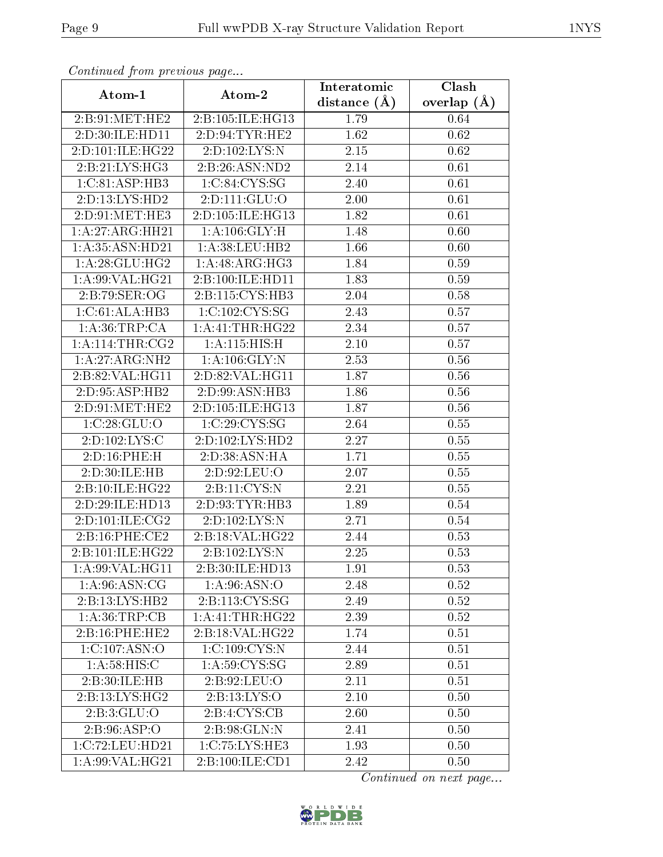| Continuata from previous page |                            | Interatomic    | Clash         |
|-------------------------------|----------------------------|----------------|---------------|
| Atom-1                        | Atom-2                     | distance $(A)$ | overlap $(A)$ |
| 2:B:91:MET:HE2                | 2:B:105:ILE:HG13           | 1.79           | 0.64          |
| 2:D:30:ILE:HD11               | 2: D:94: TYR: HE2          | 1.62           | 0.62          |
| 2:D:101:ILE:HG22              | 2:D:102:LYS:N              | 2.15           | 0.62          |
| 2:B:21:LYS:HG3                | 2: B:26: ASN:ND2           | 2.14           | 0.61          |
| 1:C:81:ASP:HB3                | 1:C:84:CYS:SG              | 2.40           | 0.61          |
| 2:D:13:LYS:HD2                | 2:D:111:GLU:O              | 2.00           | 0.61          |
| 2:D:91:MET:HE3                | 2:D:105:ILE:HG13           | 1.82           | 0.61          |
| 1:A:27:ARG:HH21               | 1: A: 106: GLY: H          | 1.48           | 0.60          |
| 1: A:35: ASN:HD21             | 1: A:38: LEU: HB2          | 1.66           | 0.60          |
| 1: A:28: GLU:HG2              | 1: A:48: ARG: HG3          | 1.84           | 0.59          |
| 1:A:99:VAL:HG21               | 2:B:100:ILE:HD11           | 1.83           | 0.59          |
| 2:B:79:SER:OG                 | 2:B:115:CYS:HB3            | 2.04           | 0.58          |
| 1:C:61:ALA:HB3                | 1:C:102:CYS:SG             | 2.43           | 0.57          |
| 1: A:36:TRP:CA                | 1: A: 41: THR: HG22        | 2.34           | 0.57          |
| 1: A:114:THR:CG2              | 1: A:115: HIS:H            | 2.10           | 0.57          |
| 1: A:27: ARG: NH2             | $1:$ A:106:GLY:N           | 2.53           | 0.56          |
| 2:B:82:VAL:HG11               | 2:D:82:VAL:HG11            | 1.87           | 0.56          |
| 2:D:95:ASP:HB2                | 2:D:99:ASN:HB3             | 1.86           | 0.56          |
| 2:D:91:MET:HE2                | 2:D:105:ILE:HG13           | 1.87           | 0.56          |
| 1:C:28:GLU:O                  | 1:C:29:CYS:SG              | 2.64           | 0.55          |
| 2:D:102:LYS:C                 | 2:D:102:LYS:HD2            | 2.27           | 0.55          |
| 2:D:16:PHE:H                  | 2:D:38:ASN:HA              | 1.71           | 0.55          |
| 2:D:30:ILE:HB                 | 2: D:92: LEU:O             | 2.07           | 0.55          |
| 2:B:10:ILE:HG22               | 2:B:11:CYS:N               | 2.21           | 0.55          |
| 2:D:29:ILE:HD13               | 2:D:93:TYR:HB3             | 1.89           | 0.54          |
| 2:D:101:ILE:CG2               | 2:D:102:LYS:N              | 2.71           | 0.54          |
| 2:B:16:PHE:CE2                | 2:B:18:VAL:HG22            | 2.44           | 0.53          |
| 2:B:101:ILE:HG22              | $2:B:102:LYS:\overline{N}$ | 2.25           | 0.53          |
| 1: A:99: VAL: HG11            | 2:B:30:ILE:HD13            | 1.91           | 0.53          |
| 1: A:96: ASN: CG              | 1: A:96: ASN:O             | 2.48           | 0.52          |
| 2:B:13:LYS:HB2                | 2:B:113:CYS:SG             | 2.49           | 0.52          |
| 1: A:36:TRP:CB                | 1:A:41:THR:HG22            | 2.39           | 0.52          |
| 2:B:16:PHE:HE2                | 2:B:18:VAL:HG22            | 1.74           | 0.51          |
| 1:C:107:ASN:O                 | 1:C:109:CYS:N              | 2.44           | 0.51          |
| 1: A:58: HIS: C               | 1: A:59: CYS:SG            | 2.89           | 0.51          |
| 2:B:30:ILE:HB                 | 2:B:92:LEU:O               | 2.11           | 0.51          |
| 2:B:13:LYS:HG2                | 2: B: 13: LYS: O           | 2.10           | 0.50          |
| 2:B:3:GLU:O                   | 2: B: 4: CYS: CB           | 2.60           | 0.50          |
| 2: B: 96: ASP:O               | 2: B: 98: GLN:N            | 2.41           | 0.50          |
| 1:C:72:LEU:HD21               | 1:C:75:LYS:HE3             | 1.93           | 0.50          |
| $1:A:99:V\overline{AL:HG21}$  | 2: B: 100: ILE: CD1        | 2.42           | 0.50          |

Continued from previous page.

Continued on next page...

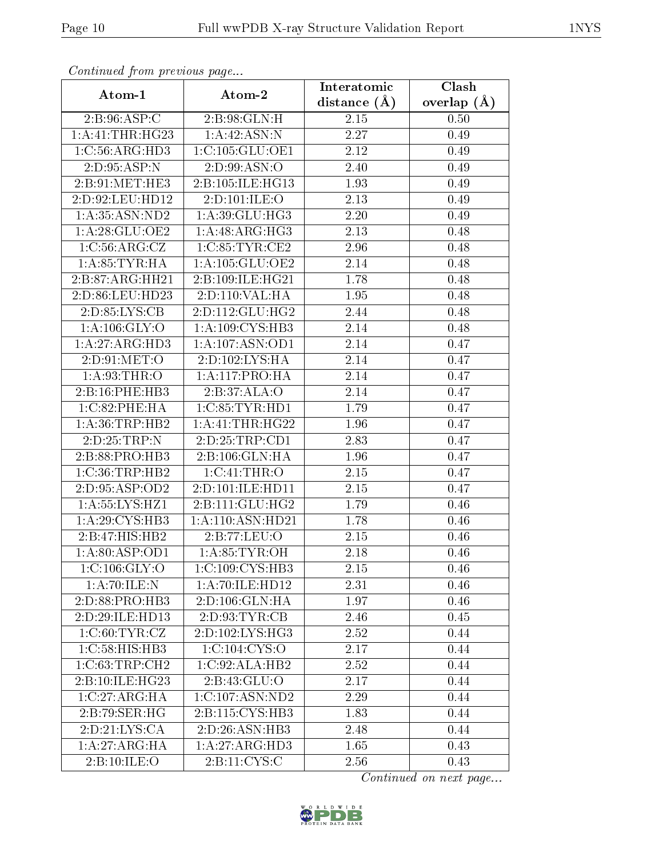| Conningca from previous page |                             | Interatomic       | Clash           |
|------------------------------|-----------------------------|-------------------|-----------------|
| Atom-1                       | Atom-2                      | distance $(\AA)$  | overlap $(\AA)$ |
| 2:B:96:ASP:C                 | 2:B:98:GLN:H                | 2.15              | 0.50            |
| 1:A:41:THR:HG23              | 1:A:42:ASN:N                | 2.27              | 0.49            |
| 1:C:56:ARG:HD3               | 1:C:105:GLU:OE1             | 2.12              | 0.49            |
| 2:D:95:ASP:N                 | 2: D:99: ASN:O              | 2.40              | 0.49            |
| 2:B:91:MET:HE3               | 2:B:105:ILE:HG13            | 1.93              | 0.49            |
| 2:D:92:LEU:HD12              | 2:D:101:ILE:O               | 2.13              | 0.49            |
| 1: A: 35: ASN: ND2           | 1: A:39: GLU: HG3           | 2.20              | 0.49            |
| 1: A:28: GLU:OE2             | 1:A:48:ARG:HG3              | 2.13              | 0.48            |
| 1: C: 56: ARG: CZ            | 1:C:85:TYR:CE2              | 2.96              | 0.48            |
| 1: A:85:TYR:HA               | 1:A:105:GLU:OE2             | 2.14              | 0.48            |
| 2:B:87:ARG:HH21              | 2:B:109:ILE:HG21            | 1.78              | 0.48            |
| 2:D:86:LEU:HD23              | 2: D: 110: VAL: HA          | 1.95              | 0.48            |
| 2:D:85:LYS:CB                | 2:D:112:GLU:HG2             | 2.44              | 0.48            |
| 1: A: 106: GLY: O            | 1:A:109:CYS:HB3             | 2.14              | 0.48            |
| 1:A:27:ARG:HD3               | 1:A:107:ASN:OD1             | 2.14              | 0.47            |
| 2: D:91: MET:O               | 2:D:102:LYS:HA              | 2.14              | 0.47            |
| 1: A:93:THR:O                | 1: A:117: PRO:HA            | 2.14              | 0.47            |
| 2:B:16:PHE:HB3               | 2:B:37:ALA:O                | 2.14              | 0.47            |
| 1: C:82: PHE: HA             | 1:C:85:TYR:HD1              | 1.79              | 0.47            |
| 1: A:36:TRP:HB2              | 1: A: 41: THE:HG22          | 1.96              | 0.47            |
| 2:D:25:TRP:N                 | 2:D:25:TRP:CD1              | 2.83              | 0.47            |
| 2: B:88: PRO:HB3             | 2:B:106:GLN:HA              | 1.96              | 0.47            |
| 1:C:36:TRP:HB2               | 1:C:41:THR:O                | 2.15              | 0.47            |
| 2:D:95:ASP:OD2               | 2:D:101:ILE:HD11            | 2.15              | 0.47            |
| 1: A: 55: LYS: HZ1           | 2:B:111:GLU:HG2             | 1.79              | 0.46            |
| 1: A:29: CYS:HB3             | 1:A:110:ASN:HD21            | 1.78              | 0.46            |
| 2:B:47:HIS:HB2               | 2:B:77:LEU:O                | 2.15              | 0.46            |
| 1: A:80: ASP:OD1             | 1: A:85:TYR:OH              | $\overline{2.18}$ | 0.46            |
| 1:C:106:GLY:O                | 1:C:109:CYS:HB3             | 2.15              | 0.46            |
| 1:A:70:ILE:N                 | 1:A:70:ILE:HD12             | 2.31              | 0.46            |
| 2:D:88:PRO:HB3               | 2: D: 106: GLN: HA          | 1.97              | 0.46            |
| 2:D:29:ILE:HD13              | 2: D: 93: TYR: CB           | 2.46              | 0.45            |
| 1:C:60:TYR:CZ                | 2:D:102:LYS:HG3             | 2.52              | 0.44            |
| 1:C:58:HIS:HB3               | 1:C:104:CYS:O               | 2.17              | 0.44            |
| 1:C:63:TRP:CH2               | 1:C:92:ALA:HB2              | 2.52              | 0.44            |
| 2:B:10:ILE:HG23              | 2:B:43:GLU:O                | 2.17              | 0.44            |
| 1:C:27:ARG:HA                | 1:C:107:ASN:ND2             | 2.29              | 0.44            |
| 2: B:79: SER: HG             | 2:B:115:CYS:HB3             | 1.83              | 0.44            |
| 2:D:21:LYS:CA                | 2:D:26:ASN:HB3              | 2.48              | 0.44            |
| 1: A:27: ARG: HA             | $1:A:27:ARG:H\overline{D3}$ | 1.65              | 0.43            |
| 2:B:10:ILE:O                 | $2:B:11:\overline{CYS:C}$   | 2.56              | 0.43            |

Continued from previous page.

Continued on next page...

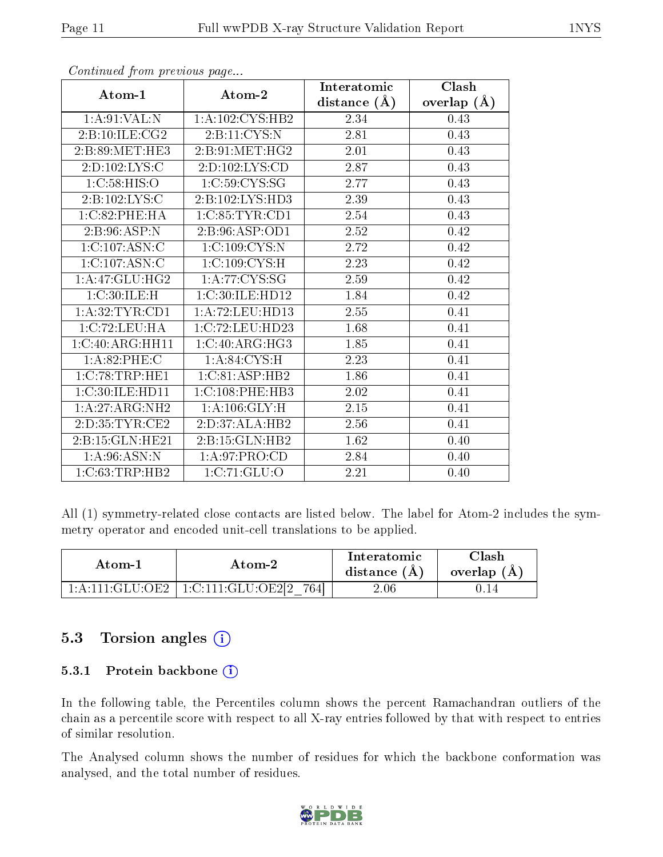|                    |                     | Interatomic    | Clash         |
|--------------------|---------------------|----------------|---------------|
| Atom-1             | Atom-2              | distance $(A)$ | overlap $(A)$ |
| 1: A:91:VAL: N     | 1:A:102:CYS:HB2     | 2.34           | 0.43          |
| 2: B: 10: ILE: CG2 | 2:B:11:CYS:N        | 2.81           | 0.43          |
| 2:B:89:MET:HE3     | 2: B:91:MET:HG2     | 2.01           | 0.43          |
| 2: D: 102: LYS: C  | 2:D:102:LYS:CD      | 2.87           | 0.43          |
| 1:C:58:HIS:O       | 1: C:59: CYS:SG     | 2.77           | 0.43          |
| 2:B:102:LYS:C      | 2:B:102:LYS:HD3     | 2.39           | 0.43          |
| 1:C:82:PHE:HA      | 1:C:85:TYR:CD1      | 2.54           | 0.43          |
| 2:B:96:ASP:N       | 2:B:96:ASP:OD1      | 2.52           | 0.42          |
| 1:C:107:ASN:C      | 1:C:109:CYS:N       | 2.72           | 0.42          |
| 1:C:107:ASN:C      | 1:C:109:CYS:H       | 2.23           | 0.42          |
| 1:A:47:GLU:HG2     | 1:A:77:CYS:SG       | 2.59           | 0.42          |
| 1:C:30:ILE:H       | 1:C:30:ILE:HD12     | 1.84           | 0.42          |
| 1: A:32: TYR: CD1  | 1: A: 72: LEU: HD13 | 2.55           | 0.41          |
| 1:C:72:LEU:HA      | 1:C:72:LEU:HD23     | 1.68           | 0.41          |
| 1:C:40:ARG:HH11    | 1:C:40:ARG:HG3      | 1.85           | 0.41          |
| 1: A:82:PHE: C     | 1: A:84:CYS:H       | 2.23           | 0.41          |
| 1:C:78:TRP:HE1     | 1:C:81:ASP:HB2      | 1.86           | 0.41          |
| 1:C:30:ILE:HD11    | 1: C:108: PHE:HB3   | 2.02           | 0.41          |
| 1:A:27:ARG:NH2     | 1: A: 106: GLY: H   | 2.15           | 0.41          |
| 2:D:35:TYR:CE2     | 2:D:37:ALA:HB2      | 2.56           | 0.41          |
| 2:B:15:GLN:HE21    | 2:B:15:GLN:HB2      | 1.62           | 0.40          |
| 1: A:96: ASN:N     | 1: A:97: PRO:CD     | 2.84           | 0.40          |
| 1:C:63:TRP:HB2     | 1:C:71:GLU:O        | 2.21           | 0.40          |

Continued from previous page...

All (1) symmetry-related close contacts are listed below. The label for Atom-2 includes the symmetry operator and encoded unit-cell translations to be applied.

| Atom-1 | Atom-2                                                                                                 | Interatomic<br>distance $(A)$ | $\cap$ lash<br>overlap $(A)$ |
|--------|--------------------------------------------------------------------------------------------------------|-------------------------------|------------------------------|
|        | $1:\mathrm{A}:111:\mathrm{GLU}:\mathrm{OE2}$   $1:\mathrm{C}:111:\mathrm{GLU}:\mathrm{OE2}[2]$<br>7641 | $2.06\,$                      | J.I4                         |

### 5.3 Torsion angles (i)

#### 5.3.1 Protein backbone (i)

In the following table, the Percentiles column shows the percent Ramachandran outliers of the chain as a percentile score with respect to all X-ray entries followed by that with respect to entries of similar resolution.

The Analysed column shows the number of residues for which the backbone conformation was analysed, and the total number of residues.

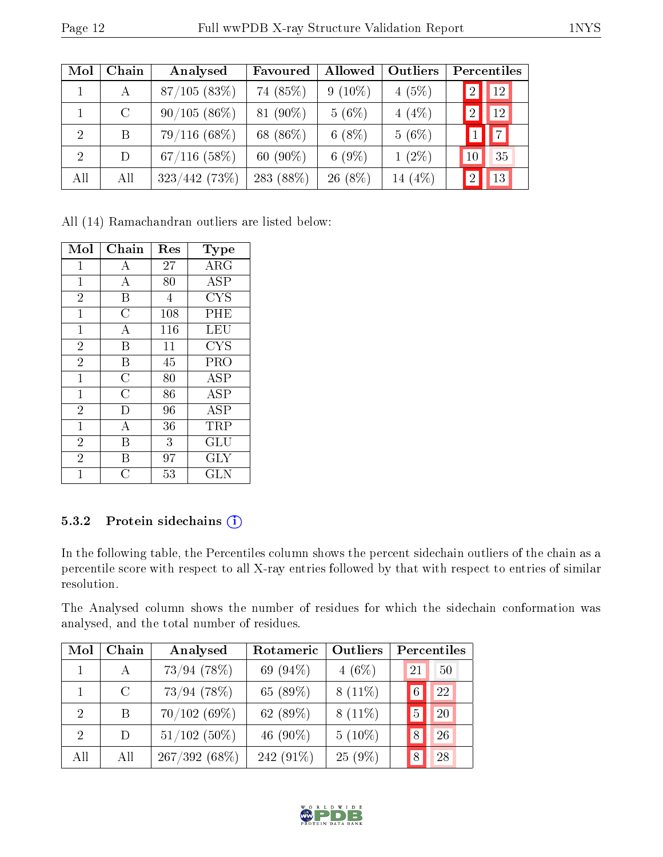| Mol            | Chain         | Analysed       | Favoured    | Allowed   | <b>Outliers</b> | Percentiles          |
|----------------|---------------|----------------|-------------|-----------|-----------------|----------------------|
|                | А             | 87/105(83%)    | 74 (85%)    | $9(10\%)$ | 4(5%)           | 12<br>-2             |
|                | $\mathcal{C}$ | $90/105(86\%)$ | 81 (90%)    | $5(6\%)$  | $4(4\%)$        | 12<br>$\overline{2}$ |
| $\overline{2}$ | B             | $79/116(68\%)$ | 68 (86\%)   | $6(8\%)$  | $5(6\%)$        |                      |
| $\overline{2}$ | D             | $67/116$ (58%) | 60 $(90\%)$ | $6(9\%)$  | $1(2\%)$        | 35<br>$10\,$         |
| All            | All           | 323/442 (73%)  | 283 (88%)   | 26 (8%)   | 14 (4\%)        | 13<br>$\Omega$       |

All (14) Ramachandran outliers are listed below:

| Mol            | Chain          | Res | Type                    |
|----------------|----------------|-----|-------------------------|
| 1              | А              | 27  | $\rm{ARG}$              |
| 1              | А              | 80  | <b>ASP</b>              |
| $\overline{2}$ | Β              | 4   | <b>CYS</b>              |
| $\mathbf{1}$   | $\overline{C}$ | 108 | PHE                     |
| $\mathbf{1}$   | A              | 116 | LEU                     |
| $\overline{2}$ | B              | 11  | CYS                     |
| $\overline{2}$ | Β              | 45  | PRO                     |
| $\mathbf{1}$   | $\rm \bar{C}$  | 80  | $\overline{\rm ASP}$    |
| $\mathbf{1}$   | $\overline{C}$ | 86  | <b>ASP</b>              |
| $\overline{2}$ | D              | 96  | $\overline{\text{ASP}}$ |
| $\mathbf{1}$   | А              | 36  | TRP                     |
| $\overline{2}$ | B              | 3   | $\operatorname{GLU}$    |
| $\overline{2}$ | В              | 97  | $\rm GLY$               |
| 1              | C              | 53  | $_{\rm GLN}$            |

#### 5.3.2 Protein sidechains (i)

In the following table, the Percentiles column shows the percent sidechain outliers of the chain as a percentile score with respect to all X-ray entries followed by that with respect to entries of similar resolution.

The Analysed column shows the number of residues for which the sidechain conformation was analysed, and the total number of residues.

| Mol                         | Chain   | Analysed        | Rotameric   | Outliers  |    | Percentiles |
|-----------------------------|---------|-----------------|-------------|-----------|----|-------------|
|                             | A       | $73/94$ (78%)   | 69 (94%)    | $4(6\%)$  | 21 | 50          |
|                             | $\rm C$ | $73/94$ (78%)   | 65 (89%)    | $8(11\%)$ |    | 22          |
| $\mathcal{D}$               | B       | 70/102(69%)     | 62 (89%)    | $8(11\%)$ | 5  | 20          |
| $\mathcal{D}_{\mathcal{L}}$ | D       | $51/102$ (50%)  | 46 $(90\%)$ | $5(10\%)$ | 8  | 26          |
| All                         | All     | $267/392(68\%)$ | 242 (91\%)  | $25(9\%)$ | 8  | 28          |

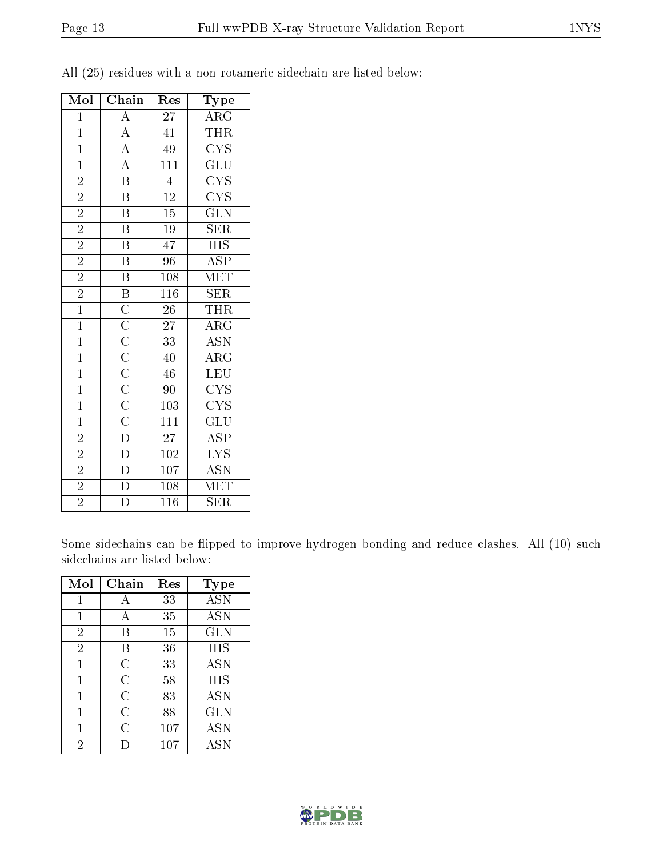| Mol            | Chain                                                                                                                                                                           | $\operatorname{Res}% \left( \mathcal{N}\right) \equiv\operatorname{Res}(\mathcal{N}_{0})\cap\mathcal{N}_{1}$ | Type                            |
|----------------|---------------------------------------------------------------------------------------------------------------------------------------------------------------------------------|--------------------------------------------------------------------------------------------------------------|---------------------------------|
| $\mathbf{1}$   | $\overline{A}$                                                                                                                                                                  | 27                                                                                                           | $\overline{\text{ARG}}$         |
| $\mathbf{1}$   | $\frac{\overline{A}}{\overline{A}}$                                                                                                                                             | 41                                                                                                           | THR                             |
| $\overline{1}$ |                                                                                                                                                                                 | $\overline{49}$                                                                                              | $\overline{\text{CYS}}$         |
| $\overline{1}$ |                                                                                                                                                                                 | $\overline{111}$                                                                                             | $\overline{{\rm GLU}}$          |
| $\overline{2}$ | $\overline{\text{B}}$                                                                                                                                                           | $\overline{4}$                                                                                               | $\overline{\text{CYS}}$         |
| $\overline{2}$ | $\overline{\mathrm{B}}$                                                                                                                                                         | $\overline{12}$                                                                                              | $\overline{\text{CYS}}$         |
| $\overline{2}$ | $\overline{\mathbf{B}}$                                                                                                                                                         | $15\,$                                                                                                       | $\overline{\text{GLN}}$         |
| $\overline{2}$ | $\overline{\mathrm{B}}$                                                                                                                                                         | $\overline{19}$                                                                                              | $\overline{\text{SER}}$         |
| $\overline{2}$ | $\overline{\mathrm{B}}$                                                                                                                                                         | 47                                                                                                           | <b>HIS</b>                      |
| $\overline{2}$ | $\overline{\mathbf{B}}$                                                                                                                                                         | $\overline{96}$                                                                                              | $\overline{\text{ASP}}$         |
| $\overline{2}$ | $\overline{\mathrm{B}}$                                                                                                                                                         | 108                                                                                                          | $\overline{\text{MET}}$         |
| $\frac{2}{1}$  | $\overline{B}$                                                                                                                                                                  | $\overline{116}$                                                                                             | $\overline{\text{SER}}$         |
|                |                                                                                                                                                                                 | $\overline{26}$                                                                                              | <b>THR</b>                      |
| $\overline{1}$ |                                                                                                                                                                                 | 27                                                                                                           | $\overline{\rm{ARG}}$           |
| $\overline{1}$ |                                                                                                                                                                                 | $\overline{33}$                                                                                              | $\overline{\text{ASN}}$         |
| $\overline{1}$ |                                                                                                                                                                                 | 40                                                                                                           | $\overline{\rm ARG}$            |
| $\overline{1}$ |                                                                                                                                                                                 | 46                                                                                                           | $\overline{\text{LEU}}$         |
| $\overline{1}$ |                                                                                                                                                                                 | 90                                                                                                           | $\overline{\text{C} \text{YS}}$ |
| $\overline{1}$ |                                                                                                                                                                                 | 103                                                                                                          | $\overline{\text{CYS}}$         |
| $\overline{1}$ | $\overline{\text{C}}$ $\overline{\text{C}}$ $\overline{\text{C}}$ $\overline{\text{C}}$ $\overline{\text{C}}$ $\overline{\text{C}}$ $\overline{\text{C}}$ $\overline{\text{D}}$ | $\overline{111}$                                                                                             | $\overline{\text{GLU}}$         |
| $\overline{2}$ |                                                                                                                                                                                 | 27                                                                                                           | $\overline{\text{ASP}}$         |
| $\overline{2}$ | $\overline{D}$                                                                                                                                                                  | 102                                                                                                          | $\overline{\text{LYS}}$         |
| $\overline{2}$ | $\frac{\overline{D}}{D}$                                                                                                                                                        | 107                                                                                                          | $\overline{\text{ASN}}$         |
| $\overline{2}$ |                                                                                                                                                                                 | 108                                                                                                          | MET                             |
| $\overline{2}$ | $\overline{\rm D}$                                                                                                                                                              | $\overline{116}$                                                                                             | $\overline{\text{SER}}$         |

All (25) residues with a non-rotameric sidechain are listed below:

Some sidechains can be flipped to improve hydrogen bonding and reduce clashes. All (10) such sidechains are listed below:

| Mol            | Chain | Res | Type       |
|----------------|-------|-----|------------|
| 1              | А     | 33  | <b>ASN</b> |
| 1              | А     | 35  | <b>ASN</b> |
| $\overline{2}$ | В     | 15  | <b>GLN</b> |
| $\overline{2}$ | B     | 36  | HIS        |
| 1              | C     | 33  | <b>ASN</b> |
| 1              | C     | 58  | HIS        |
| 1              | C     | 83  | <b>ASN</b> |
| 1              | С     | 88  | <b>GLN</b> |
|                | С     | 107 | <b>ASN</b> |
| 2              |       | 107 | <b>ASN</b> |

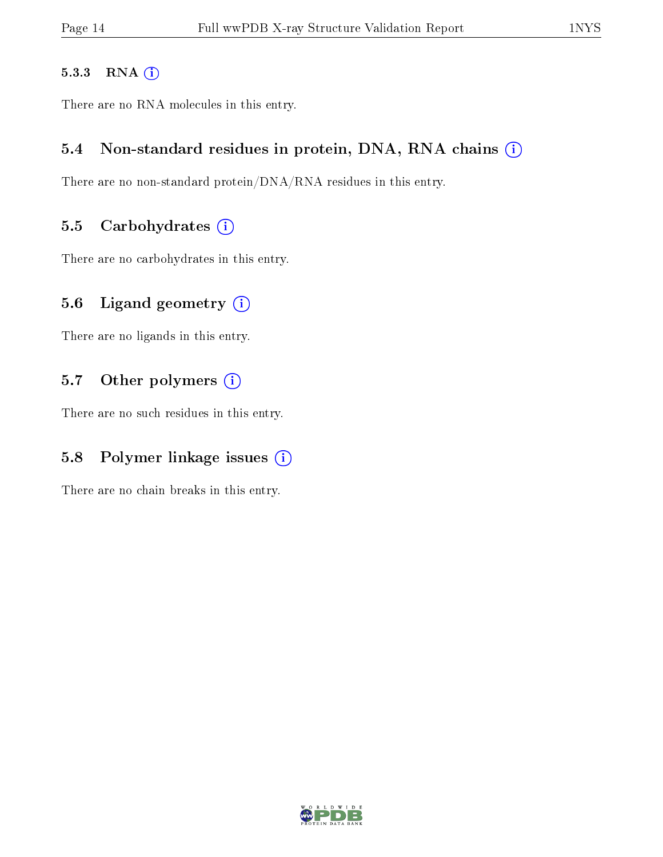#### 5.3.3 RNA [O](https://www.wwpdb.org/validation/2017/XrayValidationReportHelp#rna)i

There are no RNA molecules in this entry.

#### 5.4 Non-standard residues in protein, DNA, RNA chains (i)

There are no non-standard protein/DNA/RNA residues in this entry.

#### 5.5 Carbohydrates  $(i)$

There are no carbohydrates in this entry.

### 5.6 Ligand geometry  $(i)$

There are no ligands in this entry.

### 5.7 [O](https://www.wwpdb.org/validation/2017/XrayValidationReportHelp#nonstandard_residues_and_ligands)ther polymers (i)

There are no such residues in this entry.

### 5.8 Polymer linkage issues  $(i)$

There are no chain breaks in this entry.

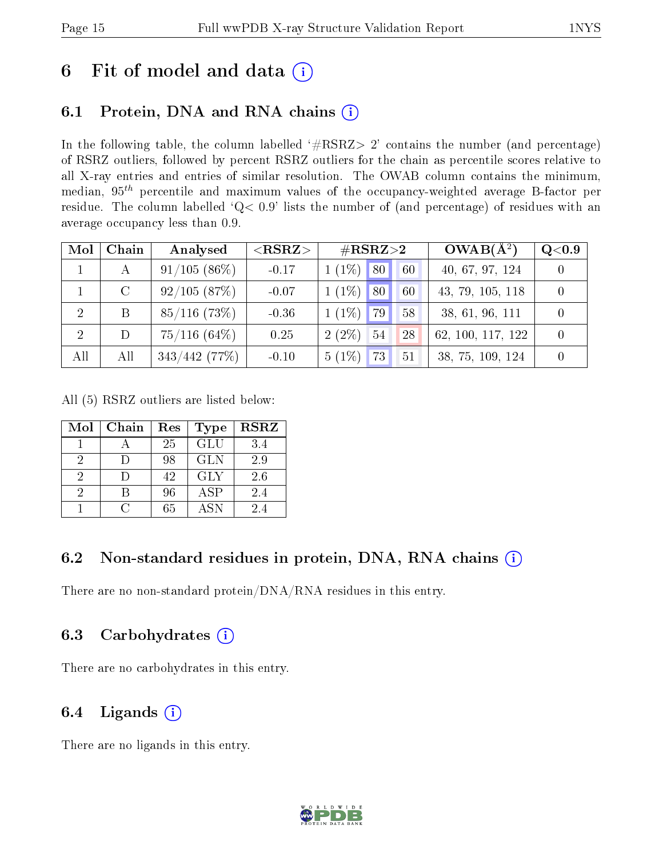# 6 Fit of model and data  $(i)$

### 6.1 Protein, DNA and RNA chains (i)

In the following table, the column labelled  $#RSRZ> 2'$  contains the number (and percentage) of RSRZ outliers, followed by percent RSRZ outliers for the chain as percentile scores relative to all X-ray entries and entries of similar resolution. The OWAB column contains the minimum, median,  $95<sup>th</sup>$  percentile and maximum values of the occupancy-weighted average B-factor per residue. The column labelled ' $Q< 0.9$ ' lists the number of (and percentage) of residues with an average occupancy less than 0.9.

| Mol | Chain   | Analysed        | ${ <\hspace{-1.5pt}{\mathrm{RSRZ}} \hspace{-1.5pt}>}$ | $\#\text{RSRZ}{>}2$            | $OWAB(A^2)$       | Q <sub>0.9</sub> |
|-----|---------|-----------------|-------------------------------------------------------|--------------------------------|-------------------|------------------|
|     | А       | 91/105(86%)     | $-0.17$                                               | $1(1\%)$ 80<br>60              | 40, 67, 97, 124   |                  |
|     | $\rm C$ | 92/105(87%)     | $-0.07$                                               | $1(1\%)$<br>$ 80\rangle$<br>60 | 43, 79, 105, 118  |                  |
| -2  | B       | $85/116$ (73\%) | $-0.36$                                               | $1(1\%)$<br>79<br>58           | 38, 61, 96, 111   |                  |
| 2   | D       | $75/116$ (64\%) | 0.25                                                  | $2(2\%)$<br>54<br>28           | 62, 100, 117, 122 |                  |
| All | All     | 343/442(77%)    | $-0.10$                                               | $5(1\%)$<br>73<br>51           | 38, 75, 109, 124  |                  |

All (5) RSRZ outliers are listed below:

| Mol | Chain | Res | <b>Type</b>      | <b>RSRZ</b> |
|-----|-------|-----|------------------|-------------|
|     |       | 25  | $\overline{GLU}$ | 3.4         |
| 2   |       | 98  | <b>GLN</b>       | 2.9         |
| 2   |       | 42  | <b>GLY</b>       | 2.6         |
| 9   |       | 96  | <b>ASP</b>       | 2.4         |
|     |       | 65  | A SN             | 24          |

### 6.2 Non-standard residues in protein, DNA, RNA chains  $(i)$

There are no non-standard protein/DNA/RNA residues in this entry.

### 6.3 Carbohydrates (i)

There are no carbohydrates in this entry.

### 6.4 Ligands  $(i)$

There are no ligands in this entry.